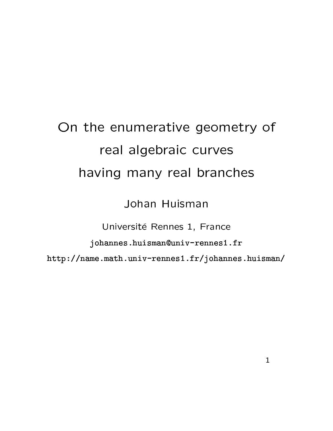## On the enumerative geometry of real algebraic curves having many real branches

Johan Huisman

Université Rennes 1, France

johannes.huisman@univ-rennes1.fr

http://name.math.univ-rennes1.fr/johannes.huisman/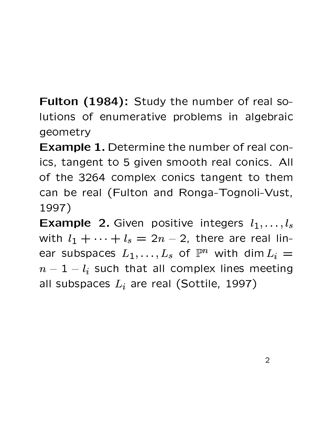Fulton (1984): Study the number of real solutions of enumerative problems in algebraic geometry

**Example 1.** Determine the number of real conics, tangent to 5 given smooth real conics. All of the 3264 complex conics tangent to them can be real (Fulton and Ronga-Tognoli-Vust, 1997)

**Example 2.** Given positive integers  $l_1, \ldots, l_s$ with  $l_1 + \cdots + l_s = 2n - 2$ , there are real linear subspaces  $L_1,\ldots,L_s$  of  $\mathbb{P}^n$  with dim  $L_i =$  $n-1-l_i$  such that all complex lines meeting all subspaces  $L_i$  are real (Sottile, 1997)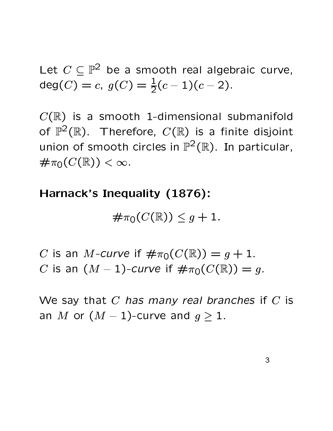Let  $C \subseteq \mathbb{P}^2$  be a smooth real algebraic curve, deg(C) = c,  $g(C) = \frac{1}{2}(c-1)(c-2)$ .

 $C(\mathbb{R})$  is a smooth 1-dimensional submanifold of  $\mathbb{P}^2(\mathbb{R})$ . Therefore,  $C(\mathbb{R})$  is a finite disjoint union of smooth circles in  $\mathbb{P}^2(\mathbb{R})$ . In particular,  $\#\pi_0(C(\mathbb{R})) < \infty.$ 

## Harnack's Inequality (1876):

$$
\#\pi_0(C(\mathbb{R}))\leq g+1.
$$

C is an M-curve if  $\#\pi_0(C(\mathbb{R})) = q + 1$ . C is an  $(M-1)$ -curve if  $\#\pi_0(C(\mathbb{R})) = q$ .

We say that  $C$  has many real branches if  $C$  is an M or  $(M-1)$ -curve and  $g \ge 1$ .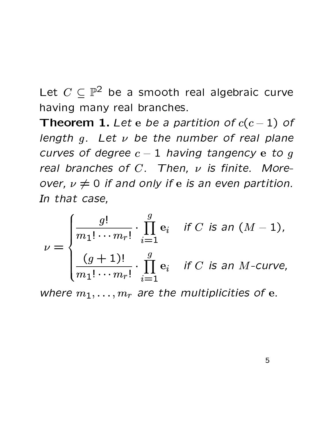Let  $C \subseteq \mathbb{P}^2$  be a smooth real algebraic curve having many real branches.

**Theorem 1.** Let e be a partition of  $c(c-1)$  of length  $g$ . Let  $\nu$  be the number of real plane curves of degree  $c-1$  having tangency e to g real branches of  $C$ . Then,  $\nu$  is finite. Moreover,  $\nu \neq 0$  if and only if e is an even partition. In that case,

 $\nu = \begin{cases} \frac{g!}{m_1! \cdots m_r!} \cdot \prod_{i=1}^g e_i & \text{if } C \text{ is an } (M-1), \\ \frac{(g+1)!}{m_1! \cdots m_r!} \cdot \prod_{i=1}^g e_i & \text{if } C \text{ is an } M\text{-curve}, \end{cases}$ 

where  $m_1, \ldots, m_r$  are the multiplicities of e.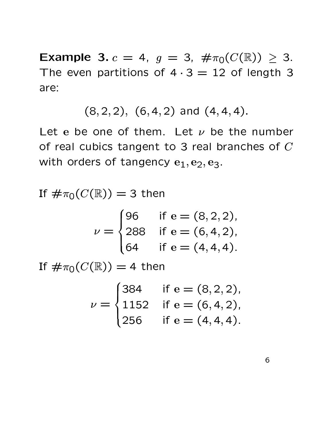**Example 3.**  $c = 4$ ,  $g = 3$ ,  $\# \pi_0(C(\mathbb{R})) \geq 3$ . The even partitions of  $4 \cdot 3 = 12$  of length 3 are:

$$
(8,2,2), (6,4,2)
$$
 and  $(4,4,4).$ 

Let e be one of them. Let  $\nu$  be the number of real cubics tangent to 3 real branches of  $C$ with orders of tangency  $e_1, e_2, e_3$ .

If  $\#\pi_0(C(\mathbb{R})) = 3$  then

$$
\nu = \begin{cases} 96 & \text{if } e = (8, 2, 2), \\ 288 & \text{if } e = (6, 4, 2), \\ 64 & \text{if } e = (4, 4, 4). \end{cases}
$$

If  $\#\pi_0(C(\mathbb{R})) = 4$  then

$$
\nu = \begin{cases} 384 & \text{if } e = (8, 2, 2), \\ 1152 & \text{if } e = (6, 4, 2), \\ 256 & \text{if } e = (4, 4, 4). \end{cases}
$$

6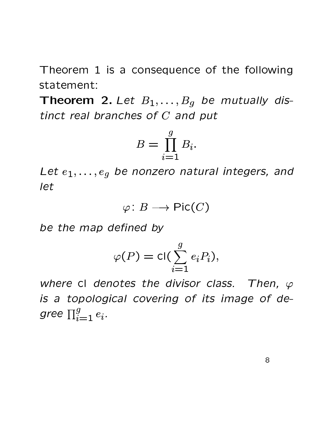Theorem 1 is a consequence of the following statement:

**Theorem 2.** Let  $B_1, \ldots, B_q$  be mutually distinct real branches of  $C$  and put

$$
B = \prod_{i=1}^{g} B_i.
$$

Let  $e_1, \ldots, e_q$  be nonzero natural integers, and let

$$
\varphi\colon B\longrightarrow \mathsf{Pic}(C)
$$

be the map defined by

$$
\varphi(P) = \text{cl}(\sum_{i=1}^{g} e_i P_i),
$$

where cl denotes the divisor class. Then,  $\varphi$ is a topological covering of its image of degree  $\prod_{i=1}^g e_i$ .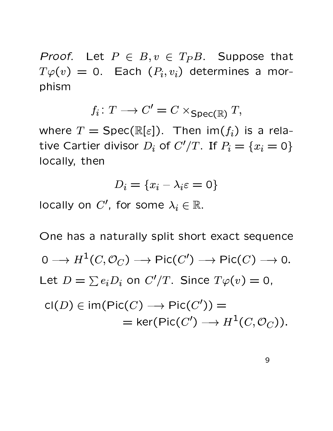*Proof.* Let  $P \in B, v \in T_P B$ . Suppose that  $T\varphi(v) = 0$ . Each  $(P_i, v_i)$  determines a morphism

$$
f_i \colon T \longrightarrow C' = C \times_{\text{Spec}(\mathbb{R})} T,
$$

where  $T = \text{Spec}(\mathbb{R}[\varepsilon])$ . Then im $(f_i)$  is a relative Cartier divisor  $D_i$  of  $C'/T$ . If  $P_i = \{x_i = 0\}$ locally, then

$$
D_i = \{x_i - \lambda_i \varepsilon = 0\}
$$

locally on  $C'$ , for some  $\lambda_i \in \mathbb{R}$ .

One has a naturally split short exact sequence  $0 \longrightarrow H^1(C, \mathcal{O}_C) \longrightarrow \text{Pic}(C') \longrightarrow \text{Pic}(C) \longrightarrow 0.$ Let  $D = \sum e_i D_i$  on  $C'/T$ . Since  $T\varphi(v) = 0$ ,  $cl(D) \in im(Pic(C) \longrightarrow Pic(C'))$ 

$$
\text{Cl}(D) \in \text{Im}(\text{Pic}(C) \longrightarrow \text{Pic}(C')) =
$$
  
= 
$$
\text{ker}(\text{Pic}(C') \longrightarrow H^1(C, \mathcal{O}_C)).
$$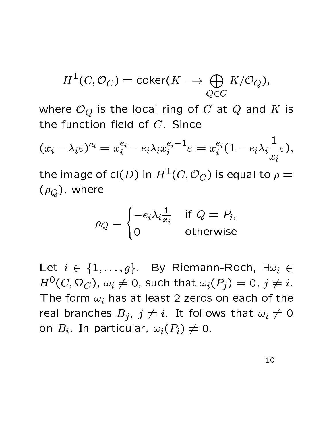$$
H^1(C, \mathcal{O}_C) = \text{coker}(K \longrightarrow \bigoplus_{Q \in C} K/\mathcal{O}_Q),
$$

where  $\mathcal{O}_Q$  is the local ring of C at Q and K is the function field of C. Since

$$
(x_i - \lambda_i \varepsilon)^{e_i} = x_i^{e_i} - e_i \lambda_i x_i^{e_i - 1} \varepsilon = x_i^{e_i} (1 - e_i \lambda_i \frac{1}{x_i} \varepsilon),
$$

the image of cl(D) in  $H^1(C, \mathcal{O}_C)$  is equal to  $\rho =$  $(\rho_Q)$ , where

$$
\rho_Q = \begin{cases}\n-e_i \lambda_i \frac{1}{x_i} & \text{if } Q = P_i, \\
0 & \text{otherwise}\n\end{cases}
$$

Let  $i \in \{1, ..., g\}$ . By Riemann-Roch,  $\exists \omega_i \in$  $H^0(C, \Omega_C)$ ,  $\omega_i \neq 0$ , such that  $\omega_i(P_j) = 0$ ,  $j \neq i$ . The form  $\omega_i$  has at least 2 zeros on each of the real branches  $B_j$ ,  $j \neq i$ . It follows that  $\omega_i \neq 0$ on  $B_i$ . In particular,  $\omega_i(P_i) \neq 0$ .